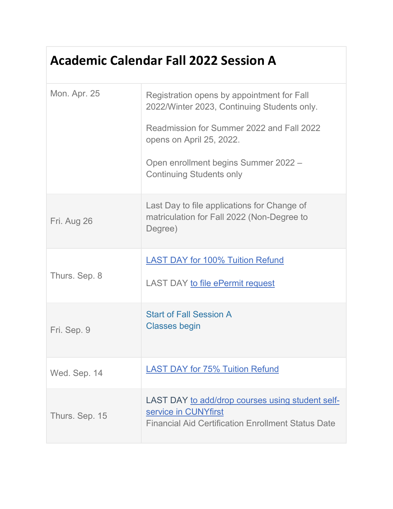## **Academic Calendar Fall 2022 Session A**

| <b>Mon. Apr. 25</b> | Registration opens by appointment for Fall<br>2022/Winter 2023, Continuing Students only.<br>Readmission for Summer 2022 and Fall 2022<br>opens on April 25, 2022.<br>Open enrollment begins Summer 2022 -<br><b>Continuing Students only</b> |
|---------------------|-----------------------------------------------------------------------------------------------------------------------------------------------------------------------------------------------------------------------------------------------|
| Fri. Aug 26         | Last Day to file applications for Change of<br>matriculation for Fall 2022 (Non-Degree to<br>Degree)                                                                                                                                          |
| Thurs. Sep. 8       | <b>LAST DAY for 100% Tuition Refund</b><br><b>LAST DAY to file ePermit request</b>                                                                                                                                                            |
| Fri. Sep. 9         | <b>Start of Fall Session A</b><br><b>Classes begin</b>                                                                                                                                                                                        |
| Wed. Sep. 14        | <b>LAST DAY for 75% Tuition Refund</b>                                                                                                                                                                                                        |
| Thurs. Sep. 15      | LAST DAY to add/drop courses using student self-<br>service in CUNYfirst<br><b>Financial Aid Certification Enrollment Status Date</b>                                                                                                         |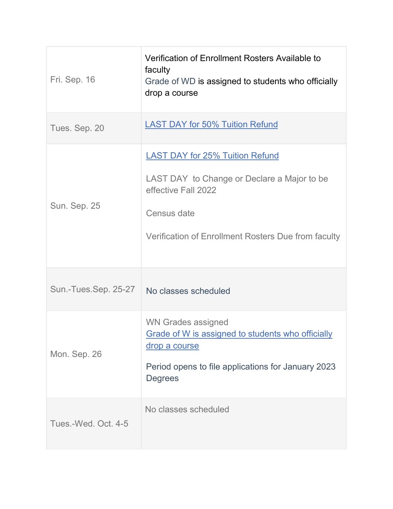| Fri. Sep. 16         | Verification of Enrollment Rosters Available to<br>faculty<br>Grade of WD is assigned to students who officially<br>drop a course                                                  |
|----------------------|------------------------------------------------------------------------------------------------------------------------------------------------------------------------------------|
| Tues. Sep. 20        | <b>LAST DAY for 50% Tuition Refund</b>                                                                                                                                             |
| Sun. Sep. 25         | <b>LAST DAY for 25% Tuition Refund</b><br>LAST DAY to Change or Declare a Major to be<br>effective Fall 2022<br>Census date<br>Verification of Enrollment Rosters Due from faculty |
| Sun.-Tues.Sep. 25-27 | No classes scheduled                                                                                                                                                               |
| Mon. Sep. 26         | <b>WN Grades assigned</b><br>Grade of W is assigned to students who officially<br>drop a course<br>Period opens to file applications for January 2023<br><b>Degrees</b>            |
| Tues.-Wed. Oct. 4-5  | No classes scheduled                                                                                                                                                               |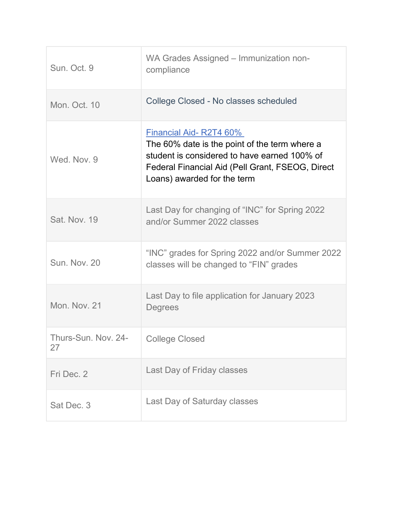| Sun. Oct. 9               | WA Grades Assigned - Immunization non-<br>compliance                                                                                                                                                       |
|---------------------------|------------------------------------------------------------------------------------------------------------------------------------------------------------------------------------------------------------|
| Mon. Oct. 10              | College Closed - No classes scheduled                                                                                                                                                                      |
| Wed. Nov. 9               | Financial Aid-R2T4 60%<br>The 60% date is the point of the term where a<br>student is considered to have earned 100% of<br>Federal Financial Aid (Pell Grant, FSEOG, Direct<br>Loans) awarded for the term |
| <b>Sat. Nov. 19</b>       | Last Day for changing of "INC" for Spring 2022<br>and/or Summer 2022 classes                                                                                                                               |
| Sun. Nov. 20              | "INC" grades for Spring 2022 and/or Summer 2022<br>classes will be changed to "FIN" grades                                                                                                                 |
| Mon. Nov. 21              | Last Day to file application for January 2023<br><b>Degrees</b>                                                                                                                                            |
| Thurs-Sun. Nov. 24-<br>27 | <b>College Closed</b>                                                                                                                                                                                      |
| Fri Dec. 2                | Last Day of Friday classes                                                                                                                                                                                 |
| Sat Dec. 3                | Last Day of Saturday classes                                                                                                                                                                               |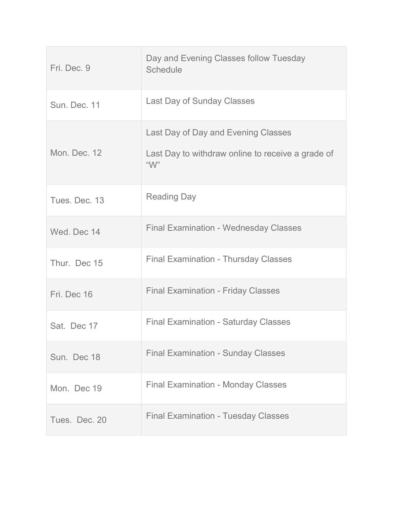| Fri. Dec. 9   | Day and Evening Classes follow Tuesday<br><b>Schedule</b> |
|---------------|-----------------------------------------------------------|
| Sun. Dec. 11  | <b>Last Day of Sunday Classes</b>                         |
|               | Last Day of Day and Evening Classes                       |
| Mon. Dec. 12  | Last Day to withdraw online to receive a grade of<br>"W"  |
| Tues, Dec. 13 | <b>Reading Day</b>                                        |
| Wed. Dec 14   | <b>Final Examination - Wednesday Classes</b>              |
| Thur. Dec 15  | <b>Final Examination - Thursday Classes</b>               |
| Fri. Dec 16   | <b>Final Examination - Friday Classes</b>                 |
| Sat. Dec 17   | <b>Final Examination - Saturday Classes</b>               |
| Sun. Dec 18   | <b>Final Examination - Sunday Classes</b>                 |
| Mon. Dec 19   | <b>Final Examination - Monday Classes</b>                 |
| Tues. Dec. 20 | <b>Final Examination - Tuesday Classes</b>                |